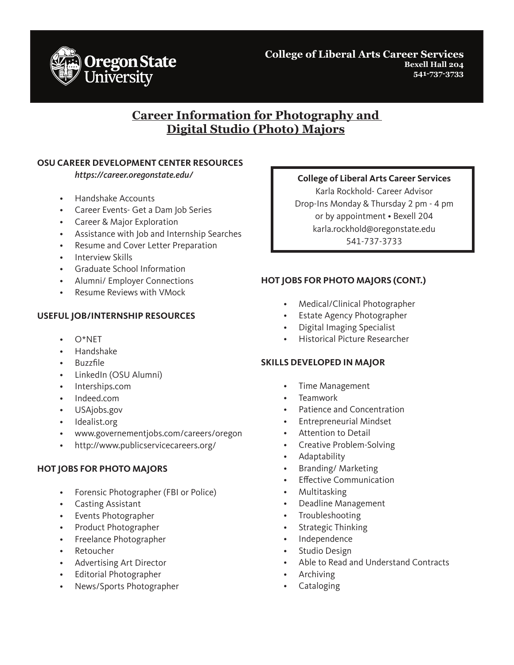

**College of Liberal Arts Career Services Bexell Hall 204 541-737-3733**

# **Career Information for Photography and Digital Studio (Photo) Majors**

### **OSU CAREER DEVELOPMENT CENTER RESOURCES**

*https://career.oregonstate.edu/*

- Handshake Accounts
- Career Events- Get a Dam Job Series
- Career & Major Exploration
- Assistance with Job and Internship Searches
- Resume and Cover Letter Preparation
- Interview Skills
- Graduate School Information
- Alumni/ Employer Connections
- Resume Reviews with VMock

### **USEFUL JOB/INTERNSHIP RESOURCES**

- $O^*NFT$
- Handshake
- Buzzfile
- LinkedIn (OSU Alumni)
- Interships.com
- Indeed.com
- USAjobs.gov
- Idealist.org
- www.governementjobs.com/careers/oregon
- http://www.publicservicecareers.org/

## **HOT JOBS FOR PHOTO MAJORS**

- Forensic Photographer (FBI or Police)
- Casting Assistant
- Events Photographer
- Product Photographer
- Freelance Photographer
- **Retoucher**
- Advertising Art Director
- Editorial Photographer
- News/Sports Photographer

#### **College of Liberal Arts Career Services**

Karla Rockhold- Career Advisor Drop-Ins Monday & Thursday 2 pm - 4 pm or by appointment • Bexell 204 karla.rockhold@oregonstate.edu 541-737-3733

## **HOT JOBS FOR PHOTO MAJORS (CONT.)**

- Medical/Clinical Photographer
- Estate Agency Photographer
- Digital Imaging Specialist
- Historical Picture Researcher

#### **SKILLS DEVELOPED IN MAJOR**

- Time Management
- **Teamwork**
- Patience and Concentration
- Entrepreneurial Mindset
- Attention to Detail
- Creative Problem-Solving
- Adaptability
- Branding/ Marketing
- Effective Communication
- Multitasking
- Deadline Management
- Troubleshooting
- Strategic Thinking
- Independence
- Studio Design
- Able to Read and Understand Contracts
- **Archiving**
- **Cataloging**